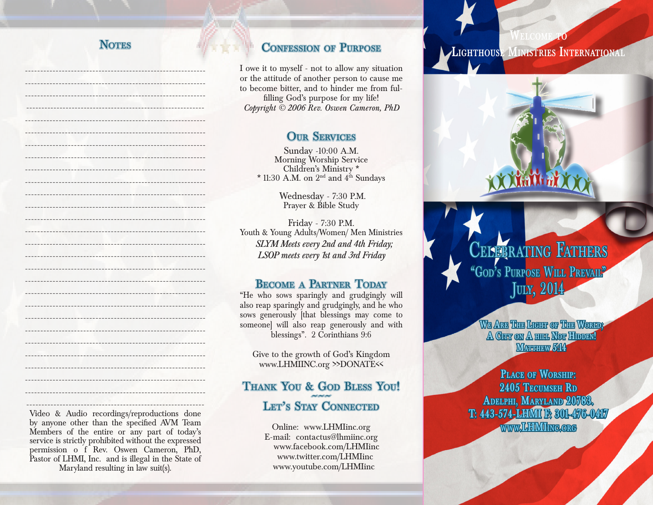# **NOTES**

----------------------------------------------------------- ----------------------------------------------------------- ----------------------------------------------------------- -----------------------------------------------------------

----------------------------------------------------------- ----------------------------------------------------------- ----------------------------------------------------------- ----------------------------------------------------------- -----------------------------------------------------------

----------------------------------------------------------- ----------------------------------------------------------- ----------------------------------------------------------- ----------------------------------------------------------- -----------------------------------------------------------

----------------------------------------------------------- ----------------------------------------------------------- ----------------------------------------------------------- ----------------------------------------------------------- ----------------------------------------------------------- ----------------------------------------------------------- ----------------------------------------------------------- ----------------------------------------------------------- ----------------------------------------------------------- -----------------------------------------------------------

## CONFESSION OF PURPOSE

I owe it to myself - not to allow any situation or the attitude of another person to cause me to become bitter, and to hinder me from fulfilling God's purpose for my life! *Copyright © 2006 Rev. Oswen Cameron, PhD*

# **OUR SERVICES**

Sunday -10:00 A.M. Morning Worship Service Children's Ministry \* \* 11:30 A.M. on  $2<sup>nd</sup>$  and  $4<sup>th</sup>$  Sundays

> Wednesday - 7:30 P.M. Prayer & Bible Study

Friday - 7:30 P.M. Youth & Young Adults/Women/ Men Ministries *SLYM Meets every 2nd and 4th Friday; LSOP meets every 1st and 3rd Friday* 

# Become a Partner Today

"He who sows sparingly and grudgingly will also reap sparingly and grudgingly, and he who sows generously [that blessings may come to someone] will also reap generously and with blessings". 2 Corinthians 9:6

Give to the growth of God's Kingdom www.LHMIINC.org >>DONATE<<

# Thank You & God Bless You!<br>Let's Stay Connected

Online: www.LHMIinc.org E-mail: contactus@lhmiinc.org www.facebook.com/LHMIinc www.twitter.com/LHMIinc www.youtube.com/LHMIinc

**Lighthouse Ministries International**

**Welcome to**



**We Are The Light of The World; A City on A hill Not Hidden! MATTHEW 5:14** 

**Place of Worship: 2405 Tecumseh Rd Adelphi, Maryland 20783. T: 443-574-LHMI F: 301-476-0417** www.LHMI**ing.org** 

----------------------------------------------------------- Video & Audio recordings/reproductions done by anyone other than the specified AVM Team Members of the entire or any part of today's service is strictly prohibited without the expressed permission o f Rev. Oswen Cameron, PhD, Pastor of LHMI, Inc. and is illegal in the State of Maryland resulting in law suit(s).